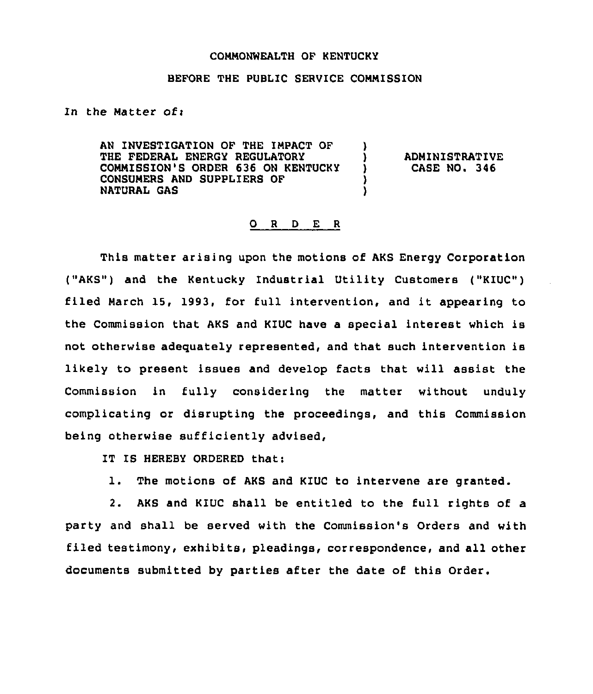## COMMONWEALTH OF KENTUCKY

## BEFORE THE PUBLIC SERVICE COMMISSION

)

) )

In the Matter of:

AN INVESTIGATION OF THE IMPACT OF THE FEDERAL ENERGY REGULATORY COMMISSION'S ORDER 636 ON KENTUCKY CONSUMERS AND SUPPLIERS OF NATURAL GAS

) ADMINISTRATIVE<br>} CASE NO. 346 ) CASE NO. 346

## 0 <sup>R</sup> <sup>D</sup> E <sup>R</sup>

This matter arising upon the motions of AKS Energy Corporation ("AKS") and the Kentucky Industrial Utility Customers ("KIUC") filed March 15, 1993, for full intervention, and it appearing to the Commission that AKS and KIUC have a special interest which is not otherwise adequately represented, and that such intervention is likely to present issues and develop facts that will assist the Commission in fully considering the matter without unduly complicating or disrupting the proceedings, and this Commission being otherwise sufficiently advised,

IT IS HEREBY ORDERED that:

1. The motions of AKS and KIUC to intervene are granted.

2. AKS and KIUC shall be entitled to the full rights of a party and shall be served with the Commission's Orders and with filed testimony, exhibits, pleadings, correspondence, and all other documents submitted by parties after the date of this Order.